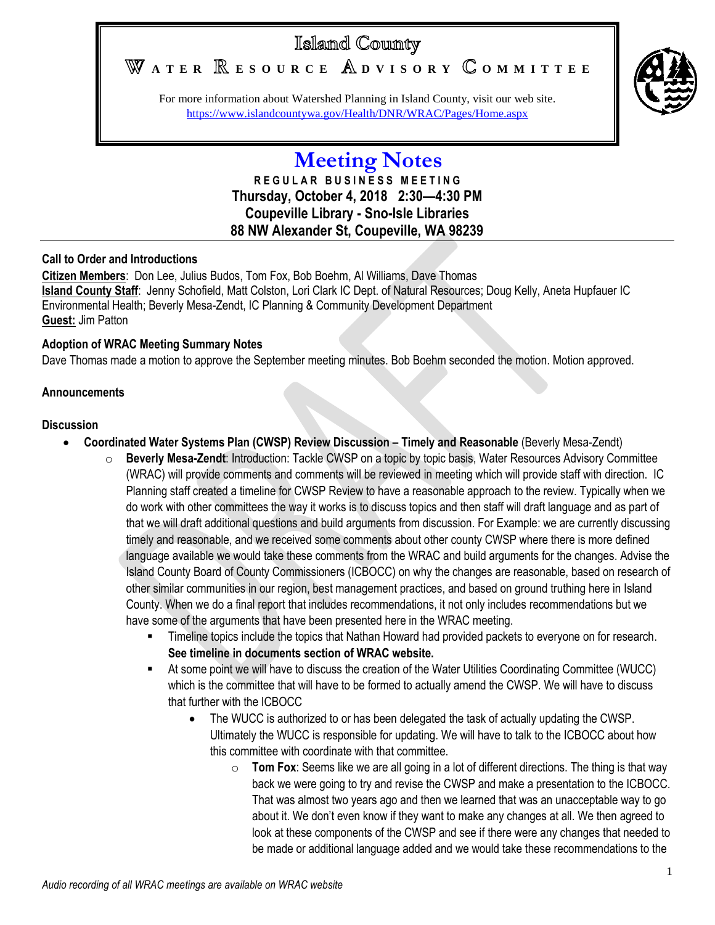# Island County

WATER **RESOURCE** ADVISORY COMMITTEE



For more information about Watershed Planning in Island County, visit our web site. <https://www.islandcountywa.gov/Health/DNR/WRAC/Pages/Home.aspx>

## **Meeting Notes R E G U L A R B U S I N E S S M E E T I N G Thursday, October 4, 2018 2:30—4:30 PM Coupeville Library - Sno-Isle Libraries 88 NW Alexander St, Coupeville, WA 98239**

### **Call to Order and Introductions**

**Citizen Members**: Don Lee, Julius Budos, Tom Fox, Bob Boehm, Al Williams, Dave Thomas **Island County Staff**: Jenny Schofield, Matt Colston, Lori Clark IC Dept. of Natural Resources; Doug Kelly, Aneta Hupfauer IC Environmental Health; Beverly Mesa-Zendt, IC Planning & Community Development Department **Guest:** Jim Patton

### **Adoption of WRAC Meeting Summary Notes**

Dave Thomas made a motion to approve the September meeting minutes. Bob Boehm seconded the motion. Motion approved.

#### **Announcements**

#### **Discussion**

- **Coordinated Water Systems Plan (CWSP) Review Discussion – Timely and Reasonable** (Beverly Mesa-Zendt)
	- **Beverly Mesa-Zendt:** Introduction: Tackle CWSP on a topic by topic basis, Water Resources Advisory Committee (WRAC) will provide comments and comments will be reviewed in meeting which will provide staff with direction. IC Planning staff created a timeline for CWSP Review to have a reasonable approach to the review. Typically when we do work with other committees the way it works is to discuss topics and then staff will draft language and as part of that we will draft additional questions and build arguments from discussion. For Example: we are currently discussing timely and reasonable, and we received some comments about other county CWSP where there is more defined language available we would take these comments from the WRAC and build arguments for the changes. Advise the Island County Board of County Commissioners (ICBOCC) on why the changes are reasonable, based on research of other similar communities in our region, best management practices, and based on ground truthing here in Island County. When we do a final report that includes recommendations, it not only includes recommendations but we have some of the arguments that have been presented here in the WRAC meeting.
		- Timeline topics include the topics that Nathan Howard had provided packets to everyone on for research. **See timeline in documents section of WRAC website.**
		- At some point we will have to discuss the creation of the Water Utilities Coordinating Committee (WUCC) which is the committee that will have to be formed to actually amend the CWSP. We will have to discuss that further with the ICBOCC
			- The WUCC is authorized to or has been delegated the task of actually updating the CWSP. Ultimately the WUCC is responsible for updating. We will have to talk to the ICBOCC about how this committee with coordinate with that committee.
				- $\circ$  **Tom Fox**: Seems like we are all going in a lot of different directions. The thing is that way back we were going to try and revise the CWSP and make a presentation to the ICBOCC. That was almost two years ago and then we learned that was an unacceptable way to go about it. We don't even know if they want to make any changes at all. We then agreed to look at these components of the CWSP and see if there were any changes that needed to be made or additional language added and we would take these recommendations to the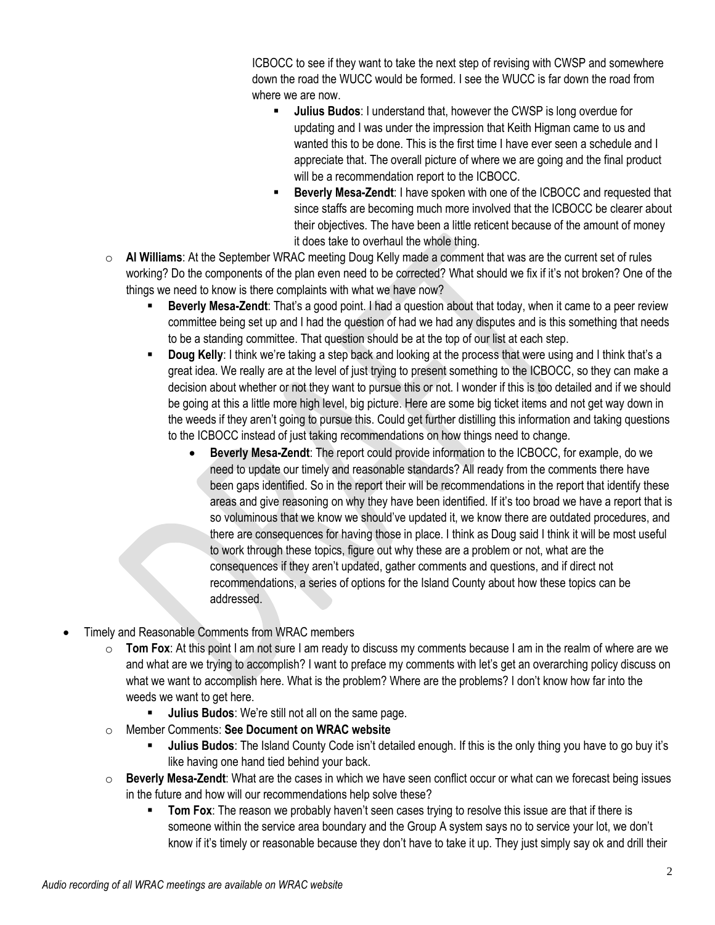ICBOCC to see if they want to take the next step of revising with CWSP and somewhere down the road the WUCC would be formed. I see the WUCC is far down the road from where we are now.

- **Julius Budos**: I understand that, however the CWSP is long overdue for updating and I was under the impression that Keith Higman came to us and wanted this to be done. This is the first time I have ever seen a schedule and I appreciate that. The overall picture of where we are going and the final product will be a recommendation report to the ICBOCC.
- **Beverly Mesa-Zendt**: I have spoken with one of the ICBOCC and requested that since staffs are becoming much more involved that the ICBOCC be clearer about their objectives. The have been a little reticent because of the amount of money it does take to overhaul the whole thing.
- o **Al Williams**: At the September WRAC meeting Doug Kelly made a comment that was are the current set of rules working? Do the components of the plan even need to be corrected? What should we fix if it's not broken? One of the things we need to know is there complaints with what we have now?
	- **Beverly Mesa-Zendt**: That's a good point. I had a question about that today, when it came to a peer review committee being set up and I had the question of had we had any disputes and is this something that needs to be a standing committee. That question should be at the top of our list at each step.
	- **Doug Kelly**: I think we're taking a step back and looking at the process that were using and I think that's a great idea. We really are at the level of just trying to present something to the ICBOCC, so they can make a decision about whether or not they want to pursue this or not. I wonder if this is too detailed and if we should be going at this a little more high level, big picture. Here are some big ticket items and not get way down in the weeds if they aren't going to pursue this. Could get further distilling this information and taking questions to the ICBOCC instead of just taking recommendations on how things need to change.
		- **Beverly Mesa-Zendt**: The report could provide information to the ICBOCC, for example, do we need to update our timely and reasonable standards? All ready from the comments there have been gaps identified. So in the report their will be recommendations in the report that identify these areas and give reasoning on why they have been identified. If it's too broad we have a report that is so voluminous that we know we should've updated it, we know there are outdated procedures, and there are consequences for having those in place. I think as Doug said I think it will be most useful to work through these topics, figure out why these are a problem or not, what are the consequences if they aren't updated, gather comments and questions, and if direct not recommendations, a series of options for the Island County about how these topics can be addressed.
- Timely and Reasonable Comments from WRAC members
	- o **Tom Fox**: At this point I am not sure I am ready to discuss my comments because I am in the realm of where are we and what are we trying to accomplish? I want to preface my comments with let's get an overarching policy discuss on what we want to accomplish here. What is the problem? Where are the problems? I don't know how far into the weeds we want to get here.
		- **Julius Budos**: We're still not all on the same page.
	- o Member Comments: **See Document on WRAC website**
		- **Julius Budos**: The Island County Code isn't detailed enough. If this is the only thing you have to go buy it's like having one hand tied behind your back.
	- o **Beverly Mesa-Zendt**: What are the cases in which we have seen conflict occur or what can we forecast being issues in the future and how will our recommendations help solve these?
		- **Tom Fox:** The reason we probably haven't seen cases trying to resolve this issue are that if there is someone within the service area boundary and the Group A system says no to service your lot, we don't know if it's timely or reasonable because they don't have to take it up. They just simply say ok and drill their